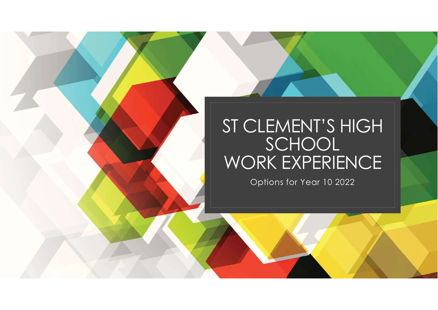# ST CLEMENT'S HIGH SCHOOL **SCHOOL** WORK EXPERIENCE

Options for Year 10 2022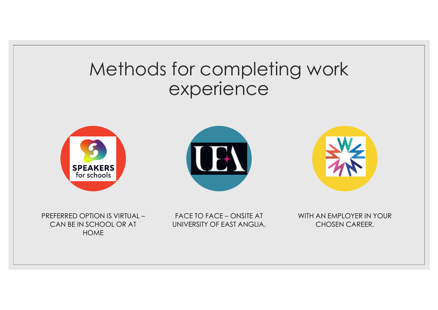### Methods for completing work experience







PREFERRED OPTION IS VIRTUAL – CAN BE IN SCHOOL OR AT HOME

UNIVERSITY OF EAST ANGLIA.

WITH AN EMPLOYER IN YOUR CHOSEN CAREER.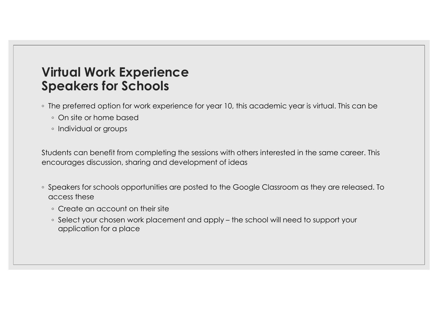### Virtual Work Experience Speakers for Schools

- The preferred option for work experience for year 10, this academic year is virtual. This can be
	- On site or home based
	- Individual or groups

Students can benefit from completing the sessions with others interested in the same career. This encourages discussion, sharing and development of ideas

- Speakers for schools opportunities are posted to the Google Classroom as they are released. To access these **DEAREL TOT SCHOOLS**<br>
The preferred option for work experience for year 10, this academic year is virtual. This can be<br> **•** On site or home based<br>
• Individual or groups<br>
dents can benefit from completing the sessions with
	- Create an account on their site
	- application for a place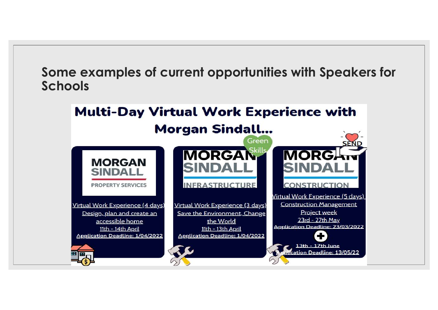Some examples of current opportunities with Speakers for Schools

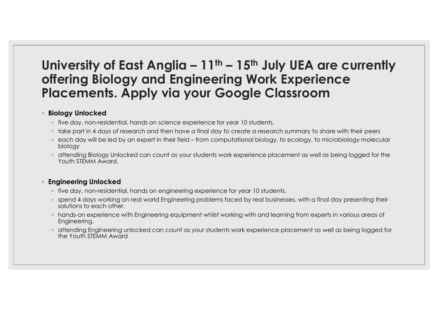## University of East Anglia – 11<sup>th</sup> – 15<sup>th</sup> July UEA are currently<br>offering Biology and Engineering Work Experience<br>Placements. Apply via your Google Classroom offering Biology and Engineering Work Experience Placements. Apply via your Google Classroom miversity of East Anglia —  $11^{\text{th}} - 15^{\text{th}}$  July UEA are currently<br>fering Biology and Engineering Work Experience<br>accements. Apply via your Google Classroom<br>biology <sup>Unlocked</sup><br>biology<br>biology and then have a final day **niversity of East Anglia – 11th – 15th July UEA are currently<br>
ffering Biology and Engineering Work Experience<br>
occements. Apply via your Google Classroom<br>
tiology unlocked<br>
the day, non-residential, hands on science expe**

#### ◦ Biology Unlocked

- 
- 
- biology
- attending Biology Unlocked can count as your students work experience placement as well as being logged for the Youth STEMM Award.

#### ◦ Engineering Unlocked

- five day, non-residential, hands on engineering experience for year 10 students.
- spend 4 days working on real world Engineering problems faced by real businesses, with a final day presenting their solutions to each other.
- hands-on experience with Engineering equipment whilst working with and learning from experts in various areas of Engineering.
- attending Engineering unlocked can count as your students work experience placement as well as being logged for the Youth STEMM Award